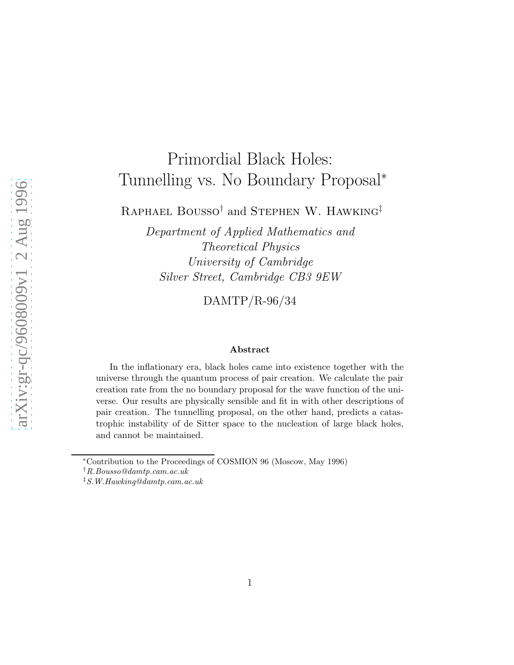# Primordial Black Holes: Tunnelling vs. No Boundary Proposal<sup>∗</sup>

RAPHAEL BOUSSO<sup>†</sup> and STEPHEN W. HAWKING<sup>‡</sup>

*Department of Applied Mathematics and Theoretical Physics University of Cambridge Silver Street, Cambridge CB3 9EW*

DAMTP/R-96/34

#### Abstract

In the inflationary era, black holes came into existence together with the universe through the quantum process of pair creation. We calculate the pair creation rate from the no boundary proposal for the wave function of the universe. Our results are physically sensible and fit in with other descriptions of pair creation. The tunnelling proposal, on the other hand, predicts a catastrophic instability of de Sitter space to the nucleation of large black holes, and cannot be maintained.

†R.Bousso@damtp.cam.ac.uk

<sup>∗</sup>Contribution to the Proceedings of COSMION 96 (Moscow, May 1996)

<sup>‡</sup>S.W.Hawking@damtp.cam.ac.uk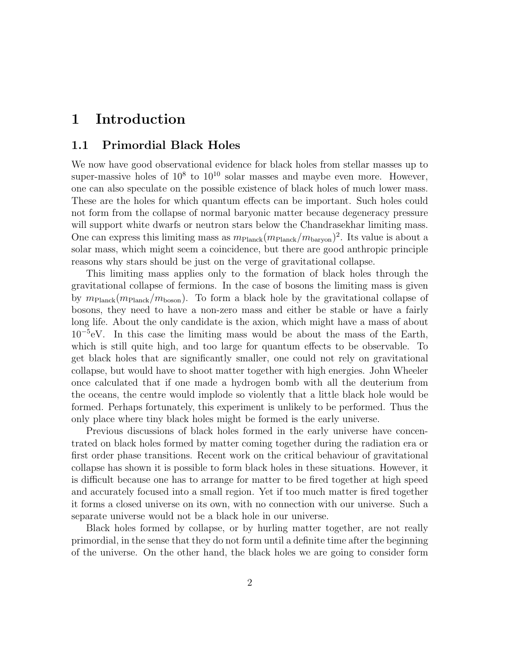## 1 Introduction

### 1.1 Primordial Black Holes

We now have good observational evidence for black holes from stellar masses up to super-massive holes of  $10^8$  to  $10^{10}$  solar masses and maybe even more. However, one can also speculate on the possible existence of black holes of much lower mass. These are the holes for which quantum effects can be important. Such holes could not form from the collapse of normal baryonic matter because degeneracy pressure will support white dwarfs or neutron stars below the Chandrasekhar limiting mass. One can express this limiting mass as  $m_{\text{Planck}}(m_{\text{Planck}}/m_{\text{baryon}})^2$ . Its value is about a solar mass, which might seem a coincidence, but there are good anthropic principle reasons why stars should be just on the verge of gravitational collapse.

This limiting mass applies only to the formation of black holes through the gravitational collapse of fermions. In the case of bosons the limiting mass is given by  $m_{\text{Planck}}(m_{\text{Planck}}/m_{\text{boson}})$ . To form a black hole by the gravitational collapse of bosons, they need to have a non-zero mass and either be stable or have a fairly long life. About the only candidate is the axion, which might have a mass of about 10<sup>−</sup><sup>5</sup> eV. In this case the limiting mass would be about the mass of the Earth, which is still quite high, and too large for quantum effects to be observable. To get black holes that are significantly smaller, one could not rely on gravitational collapse, but would have to shoot matter together with high energies. John Wheeler once calculated that if one made a hydrogen bomb with all the deuterium from the oceans, the centre would implode so violently that a little black hole would be formed. Perhaps fortunately, this experiment is unlikely to be performed. Thus the only place where tiny black holes might be formed is the early universe.

Previous discussions of black holes formed in the early universe have concentrated on black holes formed by matter coming together during the radiation era or first order phase transitions. Recent work on the critical behaviour of gravitational collapse has shown it is possible to form black holes in these situations. However, it is difficult because one has to arrange for matter to be fired together at high speed and accurately focused into a small region. Yet if too much matter is fired together it forms a closed universe on its own, with no connection with our universe. Such a separate universe would not be a black hole in our universe.

Black holes formed by collapse, or by hurling matter together, are not really primordial, in the sense that they do not form until a definite time after the beginning of the universe. On the other hand, the black holes we are going to consider form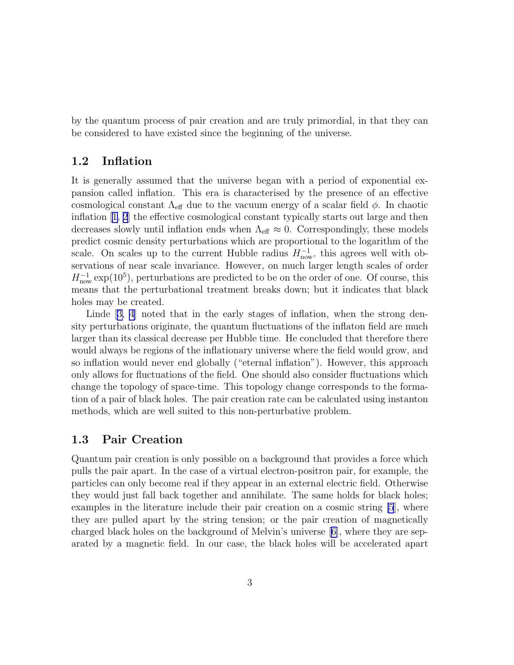by the quantum process of pair creation and are truly primordial, in that they can be considered to have existed since the beginning of the universe.

### 1.2 Inflation

It is generally assumed that the universe began with a period of exponential expansion called inflation. This era is characterised by the presence of an effective cosmological constant  $\Lambda_{\text{eff}}$  due to the vacuum energy of a scalar field  $\phi$ . In chaotic inflation[[1, 2](#page-11-0)] the effective cosmological constant typically starts out large and then decreases slowly until inflation ends when  $\Lambda_{\text{eff}} \approx 0$ . Correspondingly, these models predict cosmic density perturbations which are proportional to the logarithm of the scale. On scales up to the current Hubble radius  $H_{\text{now}}^{-1}$ , this agrees well with observations of near scale invariance. However, on much larger length scales of order  $H_{\text{now}}^{-1}$  exp(10<sup>5</sup>), perturbations are predicted to be on the order of one. Of course, this means that the perturbational treatment breaks down; but it indicates that black holes may be created.

Linde[[3, 4](#page-11-0)] noted that in the early stages of inflation, when the strong density perturbations originate, the quantum fluctuations of the inflaton field are much larger than its classical decrease per Hubble time. He concluded that therefore there would always be regions of the inflationary universe where the field would grow, and so inflation would never end globally ("eternal inflation"). However, this approach only allows for fluctuations of the field. One should also consider fluctuations which change the topology of space-time. This topology change corresponds to the formation of a pair of black holes. The pair creation rate can be calculated using instanton methods, which are well suited to this non-perturbative problem.

#### 1.3 Pair Creation

Quantum pair creation is only possible on a background that provides a force which pulls the pair apart. In the case of a virtual electron-positron pair, for example, the particles can only become real if they appear in an external electric field. Otherwise they would just fall back together and annihilate. The same holds for black holes; examples in the literature include their pair creation on a cosmic string [\[5](#page-11-0)], where they are pulled apart by the string tension; or the pair creation of magnetically charged black holes on the background of Melvin's universe[[6\]](#page-11-0), where they are separated by a magnetic field. In our case, the black holes will be accelerated apart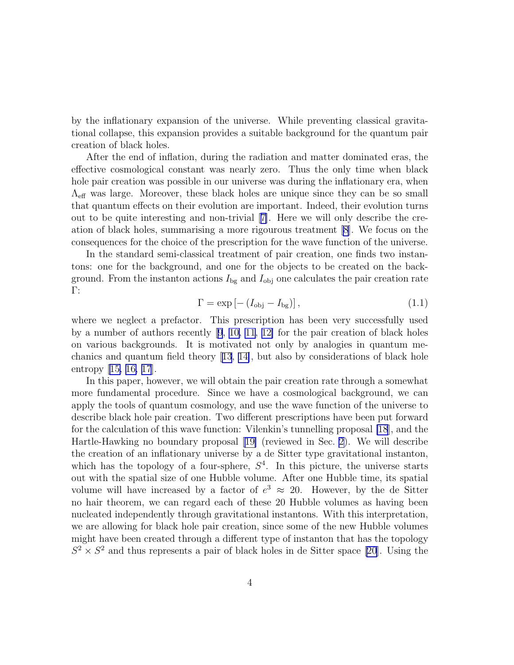<span id="page-3-0"></span>by the inflationary expansion of the universe. While preventing classical gravitational collapse, this expansion provides a suitable background for the quantum pair creation of black holes.

After the end of inflation, during the radiation and matter dominated eras, the effective cosmological constant was nearly zero. Thus the only time when black hole pair creation was possible in our universe was during the inflationary era, when  $\Lambda_{\text{eff}}$  was large. Moreover, these black holes are unique since they can be so small that quantum effects on their evolution are important. Indeed, their evolution turns out to be quite interesting and non-trivial[[7\]](#page-12-0). Here we will only describe the creation of black holes, summarising a more rigourous treatment [\[8](#page-12-0)]. We focus on the consequences for the choice of the prescription for the wave function of the universe.

In the standard semi-classical treatment of pair creation, one finds two instantons: one for the background, and one for the objects to be created on the background. From the instanton actions  $I_{\text{bg}}$  and  $I_{\text{obj}}$  one calculates the pair creation rate Γ:

$$
\Gamma = \exp\left[-\left(I_{\text{obj}} - I_{\text{bg}}\right)\right],\tag{1.1}
$$

where we neglect a prefactor. This prescription has been very successfully used by a number of authors recently[[9](#page-12-0), [10, 11](#page-12-0), [12\]](#page-12-0) for the pair creation of black holes on various backgrounds. It is motivated not only by analogies in quantum mechanics and quantum field theory[[13](#page-12-0), [14\]](#page-12-0), but also by considerations of black hole entropy[[15, 16, 17](#page-12-0)].

In this paper, however, we will obtain the pair creation rate through a somewhat more fundamental procedure. Since we have a cosmological background, we can apply the tools of quantum cosmology, and use the wave function of the universe to describe black hole pair creation. Two different prescriptions have been put forward for the calculation of this wave function: Vilenkin's tunnelling proposal [\[18](#page-12-0)], and the Hartle-Hawking no boundary proposal[[19\]](#page-13-0) (reviewed in Sec. [2\)](#page-4-0). We will describe the creation of an inflationary universe by a de Sitter type gravitational instanton, which has the topology of a four-sphere,  $S<sup>4</sup>$ . In this picture, the universe starts out with the spatial size of one Hubble volume. After one Hubble time, its spatial volume will have increased by a factor of  $e^3 \approx 20$ . However, by the de Sitter no hair theorem, we can regard each of these 20 Hubble volumes as having been nucleated independently through gravitational instantons. With this interpretation, we are allowing for black hole pair creation, since some of the new Hubble volumes might have been created through a different type of instanton that has the topology  $S^2 \times S^2$  and thus represents a pair of black holes in de Sitter space [\[20\]](#page-13-0). Using the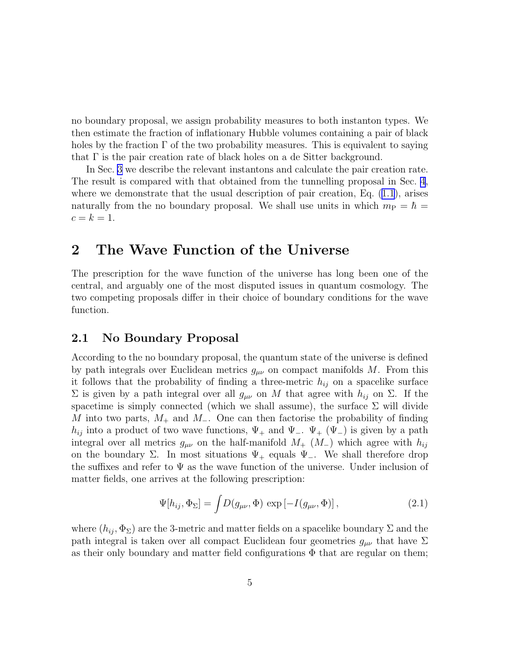<span id="page-4-0"></span>no boundary proposal, we assign probability measures to both instanton types. We then estimate the fraction of inflationary Hubble volumes containing a pair of black holes by the fraction  $\Gamma$  of the two probability measures. This is equivalent to saying that  $\Gamma$  is the pair creation rate of black holes on a de Sitter background.

In Sec. [3](#page-6-0) we describe the relevant instantons and calculate the pair creation rate. The result is compared with that obtained from the tunnelling proposal in Sec. [4](#page-10-0), where we demonstrate that the usual description of pair creation, Eq.  $(1.1)$ , arises naturally from the no boundary proposal. We shall use units in which  $m_{\rm P} = \hbar =$  $c = k = 1.$ 

## 2 The Wave Function of the Universe

The prescription for the wave function of the universe has long been one of the central, and arguably one of the most disputed issues in quantum cosmology. The two competing proposals differ in their choice of boundary conditions for the wave function.

#### 2.1 No Boundary Proposal

According to the no boundary proposal, the quantum state of the universe is defined by path integrals over Euclidean metrics  $g_{\mu\nu}$  on compact manifolds M. From this it follows that the probability of finding a three-metric  $h_{ij}$  on a spacelike surface  $\Sigma$  is given by a path integral over all  $g_{\mu\nu}$  on M that agree with  $h_{ij}$  on  $\Sigma$ . If the spacetime is simply connected (which we shall assume), the surface  $\Sigma$  will divide M into two parts,  $M_+$  and  $M_-$ . One can then factorise the probability of finding  $h_{ij}$  into a product of two wave functions,  $\Psi_+$  and  $\Psi_-$ .  $\Psi_+$  ( $\Psi_-$ ) is given by a path integral over all metrics  $g_{\mu\nu}$  on the half-manifold  $M_{+}$  ( $M_{-}$ ) which agree with  $h_{ij}$ on the boundary  $\Sigma$ . In most situations  $\Psi_+$  equals  $\Psi_-$ . We shall therefore drop the suffixes and refer to  $\Psi$  as the wave function of the universe. Under inclusion of matter fields, one arrives at the following prescription:

$$
\Psi[h_{ij}, \Phi_{\Sigma}] = \int D(g_{\mu\nu}, \Phi) \exp[-I(g_{\mu\nu}, \Phi)], \qquad (2.1)
$$

where  $(h_{ij}, \Phi_{\Sigma})$  are the 3-metric and matter fields on a spacelike boundary  $\Sigma$  and the path integral is taken over all compact Euclidean four geometries  $g_{\mu\nu}$  that have  $\Sigma$ as their only boundary and matter field configurations  $\Phi$  that are regular on them;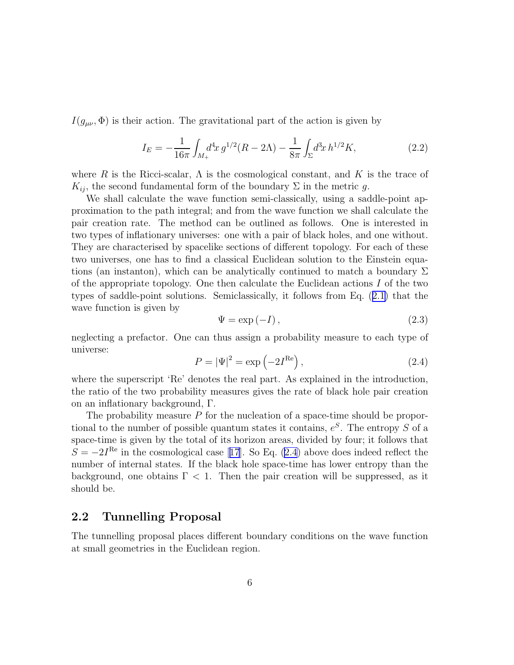<span id="page-5-0"></span> $I(q_{\mu\nu}, \Phi)$  is their action. The gravitational part of the action is given by

$$
I_E = -\frac{1}{16\pi} \int_{M_+} d^4x \, g^{1/2} (R - 2\Lambda) - \frac{1}{8\pi} \int_{\Sigma} d^3x \, h^{1/2} K,\tag{2.2}
$$

where R is the Ricci-scalar,  $\Lambda$  is the cosmological constant, and K is the trace of  $K_{ii}$ , the second fundamental form of the boundary  $\Sigma$  in the metric q.

We shall calculate the wave function semi-classically, using a saddle-point approximation to the path integral; and from the wave function we shall calculate the pair creation rate. The method can be outlined as follows. One is interested in two types of inflationary universes: one with a pair of black holes, and one without. They are characterised by spacelike sections of different topology. For each of these two universes, one has to find a classical Euclidean solution to the Einstein equations (an instanton), which can be analytically continued to match a boundary  $\Sigma$ of the appropriate topology. One then calculate the Euclidean actions  $I$  of the two types of saddle-point solutions. Semiclassically, it follows from Eq.([2.1\)](#page-4-0) that the wave function is given by

$$
\Psi = \exp(-I),\tag{2.3}
$$

neglecting a prefactor. One can thus assign a probability measure to each type of universe:

$$
P = |\Psi|^2 = \exp\left(-2I^{\text{Re}}\right),\tag{2.4}
$$

where the superscript 'Re' denotes the real part. As explained in the introduction, the ratio of the two probability measures gives the rate of black hole pair creation on an inflationary background, Γ.

The probability measure  $P$  for the nucleation of a space-time should be proportional to the number of possible quantum states it contains,  $e^{S}$ . The entropy S of a space-time is given by the total of its horizon areas, divided by four; it follows that  $S = -2I<sup>Re</sup>$  $S = -2I<sup>Re</sup>$  $S = -2I<sup>Re</sup>$  in the cosmological case [[17](#page-12-0)]. So Eq. (2.4) above does indeed reflect the number of internal states. If the black hole space-time has lower entropy than the background, one obtains  $\Gamma$  < 1. Then the pair creation will be suppressed, as it should be.

#### 2.2 Tunnelling Proposal

The tunnelling proposal places different boundary conditions on the wave function at small geometries in the Euclidean region.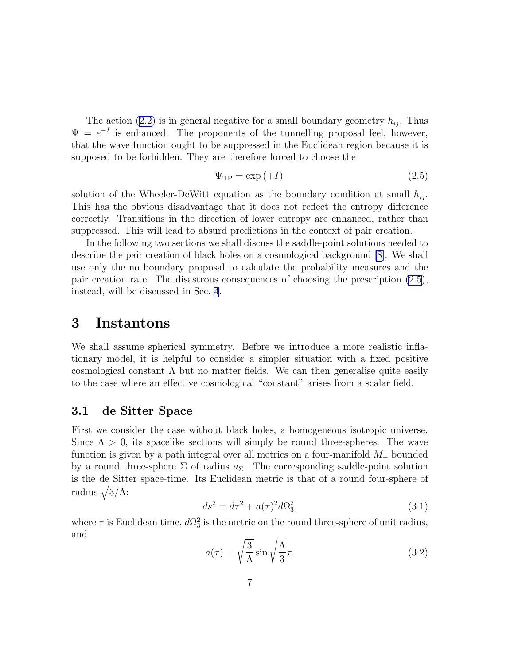<span id="page-6-0"></span>The action [\(2.2](#page-5-0)) is in general negative for a small boundary geometry  $h_{ij}$ . Thus  $\Psi = e^{-I}$  is enhanced. The proponents of the tunnelling proposal feel, however, that the wave function ought to be suppressed in the Euclidean region because it is supposed to be forbidden. They are therefore forced to choose the

$$
\Psi_{\rm TP} = \exp\left(+I\right) \tag{2.5}
$$

solution of the Wheeler-DeWitt equation as the boundary condition at small  $h_{ij}$ . This has the obvious disadvantage that it does not reflect the entropy difference correctly. Transitions in the direction of lower entropy are enhanced, rather than suppressed. This will lead to absurd predictions in the context of pair creation.

In the following two sections we shall discuss the saddle-point solutions needed to describe the pair creation of black holes on a cosmological background [\[8](#page-12-0)]. We shall use only the no boundary proposal to calculate the probability measures and the pair creation rate. The disastrous consequences of choosing the prescription (2.5), instead, will be discussed in Sec. [4](#page-10-0).

## 3 Instantons

We shall assume spherical symmetry. Before we introduce a more realistic inflationary model, it is helpful to consider a simpler situation with a fixed positive cosmological constant  $\Lambda$  but no matter fields. We can then generalise quite easily to the case where an effective cosmological "constant" arises from a scalar field.

#### 3.1 de Sitter Space

First we consider the case without black holes, a homogeneous isotropic universe. Since  $\Lambda > 0$ , its spacelike sections will simply be round three-spheres. The wave function is given by a path integral over all metrics on a four-manifold  $M_{+}$  bounded by a round three-sphere  $\Sigma$  of radius  $a_{\Sigma}$ . The corresponding saddle-point solution is the de Sitter space-time. Its Euclidean metric is that of a round four-sphere of radius  $\sqrt{3/\Lambda}$ :

$$
ds^2 = d\tau^2 + a(\tau)^2 d\Omega_3^2,
$$
\n(3.1)

where  $\tau$  is Euclidean time,  $d\Omega_3^2$  is the metric on the round three-sphere of unit radius, and

$$
a(\tau) = \sqrt{\frac{3}{\Lambda}} \sin \sqrt{\frac{\Lambda}{3}} \tau.
$$
 (3.2)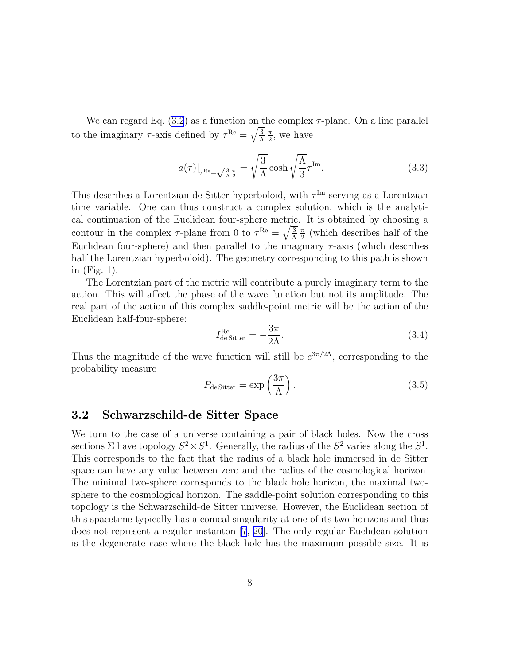<span id="page-7-0"></span>We can regard Eq.  $(3.2)$  as a function on the complex  $\tau$ -plane. On a line parallel to the imaginary  $\tau$ -axis defined by  $\tau^{\text{Re}} = \sqrt{\frac{3}{\Lambda}}$ π  $\frac{\pi}{2}$ , we have

$$
a(\tau)|_{\tau^{\text{Re}} = \sqrt{\frac{3}{\Lambda}} \frac{\pi}{2}} = \sqrt{\frac{3}{\Lambda}} \cosh \sqrt{\frac{\Lambda}{3}} \tau^{\text{Im}}.
$$
 (3.3)

This describes a Lorentzian de Sitter hyperboloid, with  $\tau^{\text{Im}}$  serving as a Lorentzian time variable. One can thus construct a complex solution, which is the analytical continuation of the Euclidean four-sphere metric. It is obtained by choosing a contour in the complex  $\tau$ -plane from 0 to  $\tau^{\text{Re}} = \sqrt{\frac{3}{\Lambda}}$ π  $\frac{\pi}{2}$  (which describes half of the Euclidean four-sphere) and then parallel to the imaginary  $\tau$ -axis (which describes half the Lorentzian hyperboloid). The geometry corresponding to this path is shown in (Fig. 1).

The Lorentzian part of the metric will contribute a purely imaginary term to the action. This will affect the phase of the wave function but not its amplitude. The real part of the action of this complex saddle-point metric will be the action of the Euclidean half-four-sphere:

$$
I_{\text{de Sitter}}^{\text{Re}} = -\frac{3\pi}{2\Lambda}.\tag{3.4}
$$

Thus the magnitude of the wave function will still be  $e^{3\pi/2\Lambda}$ , corresponding to the probability measure

$$
P_{\text{de Sitter}} = \exp\left(\frac{3\pi}{\Lambda}\right). \tag{3.5}
$$

#### 3.2 Schwarzschild-de Sitter Space

We turn to the case of a universe containing a pair of black holes. Now the cross sections  $\Sigma$  have topology  $S^2 \times S^1$ . Generally, the radius of the  $S^2$  varies along the  $S^1$ . This corresponds to the fact that the radius of a black hole immersed in de Sitter space can have any value between zero and the radius of the cosmological horizon. The minimal two-sphere corresponds to the black hole horizon, the maximal twosphere to the cosmological horizon. The saddle-point solution corresponding to this topology is the Schwarzschild-de Sitter universe. However, the Euclidean section of this spacetime typically has a conical singularity at one of its two horizons and thus does not represent a regular instanton [\[7](#page-12-0), [20](#page-13-0)]. The only regular Euclidean solution is the degenerate case where the black hole has the maximum possible size. It is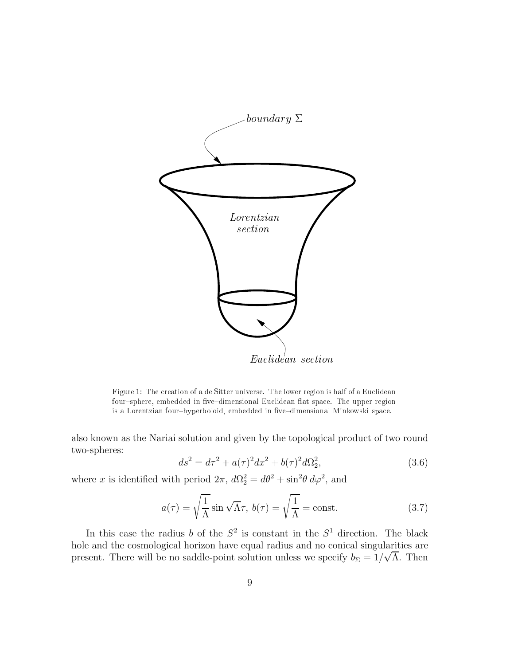

Figure 1: The creation of <sup>a</sup> de Sitter universe. The lower region is half of <sup>a</sup> Euclidean four{sphere, embedded in ve{dimensional Euclidean at space. The upper region is <sup>a</sup> Lorentzian four{hyperboloid, embedded in ve{dimensional Minkowski space.

also known as the Nariai solution and given by the topological product of two round two-spheres:

$$
ds^{2} = d\tau^{2} + a(\tau)^{2}dx^{2} + b(\tau)^{2}d\Omega_{2}^{2},
$$
\n(3.6)

where x is identified with period  $2\pi$ ,  $d\Omega_2^2 = d\theta^2 + \sin^2\theta \, d\varphi^2$ , and

$$
a(\tau) = \sqrt{\frac{1}{\Lambda}} \sin \sqrt{\Lambda} \tau, \quad b(\tau) = \sqrt{\frac{1}{\Lambda}} = \text{const.}
$$
 (3.7)

In this case the radius b of the  $S^2$  is constant in the  $S^1$  direction. The black hole and the cosmological horizon have equal radius and no conical singularities are present. There will be no saddle-point solution unless we specify  $b_{\Sigma} = 1/\sqrt{\Lambda}$ . Then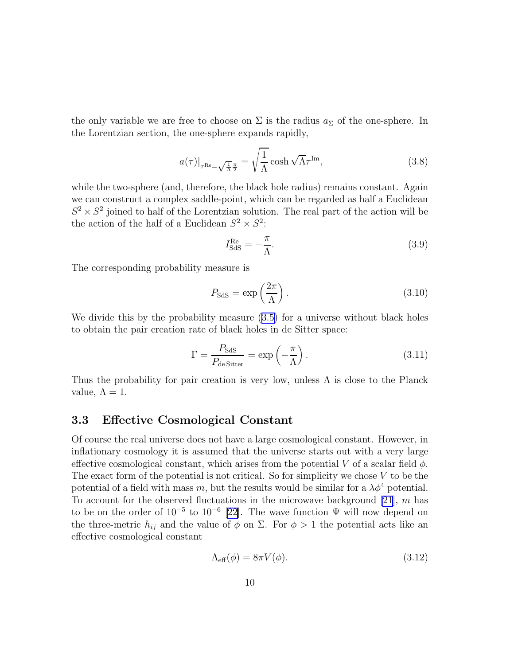the only variable we are free to choose on  $\Sigma$  is the radius  $a_{\Sigma}$  of the one-sphere. In the Lorentzian section, the one-sphere expands rapidly,

$$
a(\tau)|_{\tau^{\text{Re}} = \sqrt{\frac{1}{\Lambda} \frac{\pi}{2}}} = \sqrt{\frac{1}{\Lambda}} \cosh \sqrt{\Lambda} \tau^{\text{Im}}, \qquad (3.8)
$$

while the two-sphere (and, therefore, the black hole radius) remains constant. Again we can construct a complex saddle-point, which can be regarded as half a Euclidean  $S^2 \times S^2$  joined to half of the Lorentzian solution. The real part of the action will be the action of the half of a Euclidean  $S^2 \times S^2$ :

$$
I_{\text{SdS}}^{\text{Re}} = -\frac{\pi}{\Lambda}.\tag{3.9}
$$

The corresponding probability measure is

$$
P_{\text{SdS}} = \exp\left(\frac{2\pi}{\Lambda}\right). \tag{3.10}
$$

Wedivide this by the probability measure  $(3.5)$  $(3.5)$  for a universe without black holes to obtain the pair creation rate of black holes in de Sitter space:

$$
\Gamma = \frac{P_{\text{SdS}}}{P_{\text{de Sitter}}} = \exp\left(-\frac{\pi}{\Lambda}\right). \tag{3.11}
$$

Thus the probability for pair creation is very low, unless  $\Lambda$  is close to the Planck value,  $\Lambda = 1$ .

#### 3.3 Effective Cosmological Constant

Of course the real universe does not have a large cosmological constant. However, in inflationary cosmology it is assumed that the universe starts out with a very large effective cosmological constant, which arises from the potential V of a scalar field  $\phi$ . The exact form of the potential is not critical. So for simplicity we chose  $V$  to be the potential of a field with mass m, but the results would be similar for a  $\lambda \phi^4$  potential. To account for the observed fluctuations in the microwave background [\[21\]](#page-13-0),  $m$  has to be on the order of  $10^{-5}$  to  $10^{-6}$  [\[22\]](#page-13-0). The wave function  $\Psi$  will now depend on the three-metric  $h_{ij}$  and the value of  $\phi$  on  $\Sigma$ . For  $\phi > 1$  the potential acts like an effective cosmological constant

$$
\Lambda_{\text{eff}}(\phi) = 8\pi V(\phi). \tag{3.12}
$$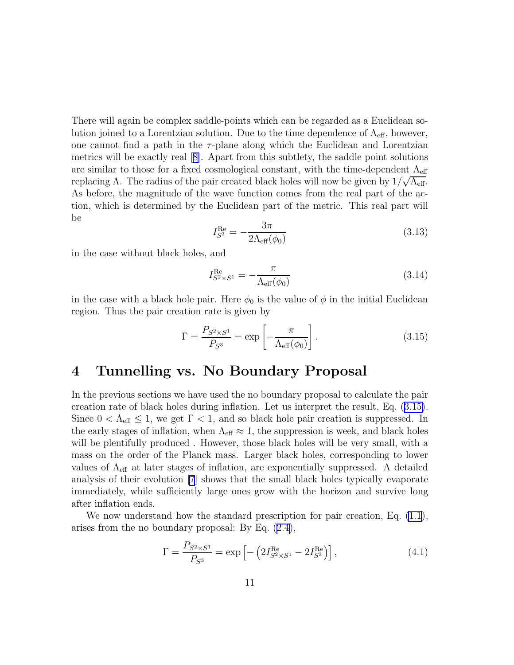<span id="page-10-0"></span>There will again be complex saddle-points which can be regarded as a Euclidean solution joined to a Lorentzian solution. Due to the time dependence of  $\Lambda_{\text{eff}}$ , however, one cannot find a path in the  $\tau$ -plane along which the Euclidean and Lorentzian metrics will be exactly real[[8\]](#page-12-0). Apart from this subtlety, the saddle point solutions are similar to those for a fixed cosmological constant, with the time-dependent  $\Lambda_{\text{eff}}$ replacing Λ. The radius of the pair created black holes will now be given by  $1/\sqrt{\Lambda_{\text{eff}}}$ . As before, the magnitude of the wave function comes from the real part of the action, which is determined by the Euclidean part of the metric. This real part will be

$$
I_{S^3}^{\text{Re}} = -\frac{3\pi}{2\Lambda_{\text{eff}}(\phi_0)}\tag{3.13}
$$

in the case without black holes, and

$$
I_{S^2 \times S^1}^{\text{Re}} = -\frac{\pi}{\Lambda_{\text{eff}}(\phi_0)}\tag{3.14}
$$

in the case with a black hole pair. Here  $\phi_0$  is the value of  $\phi$  in the initial Euclidean region. Thus the pair creation rate is given by

$$
\Gamma = \frac{P_{S^2 \times S^1}}{P_{S^3}} = \exp\left[-\frac{\pi}{\Lambda_{\text{eff}}(\phi_0)}\right].
$$
\n(3.15)

## 4 Tunnelling vs. No Boundary Proposal

In the previous sections we have used the no boundary proposal to calculate the pair creation rate of black holes during inflation. Let us interpret the result, Eq. (3.15). Since  $0 < \Lambda_{\text{eff}} \leq 1$ , we get  $\Gamma < 1$ , and so black hole pair creation is suppressed. In the early stages of inflation, when  $\Lambda_{\text{eff}} \approx 1$ , the suppression is week, and black holes will be plentifully produced . However, those black holes will be very small, with a mass on the order of the Planck mass. Larger black holes, corresponding to lower values of  $\Lambda_{\text{eff}}$  at later stages of inflation, are exponentially suppressed. A detailed analysis of their evolution [\[7](#page-12-0)] shows that the small black holes typically evaporate immediately, while sufficiently large ones grow with the horizon and survive long after inflation ends.

We now understand how the standard prescription for pair creation, Eq.  $(1.1)$ , arises from the no boundary proposal: By Eq.([2.4\)](#page-5-0),

$$
\Gamma = \frac{P_{S^2 \times S^1}}{P_{S^3}} = \exp\left[-\left(2I_{S^2 \times S^1}^{\text{Re}} - 2I_{S^3}^{\text{Re}}\right)\right],\tag{4.1}
$$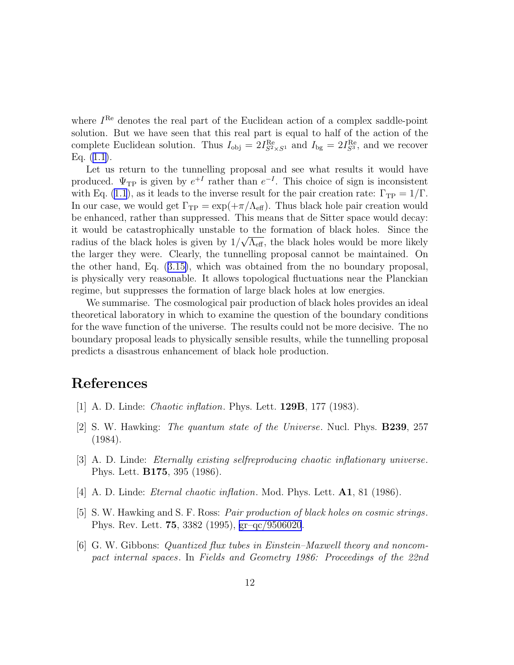<span id="page-11-0"></span>where  $I^{\text{Re}}$  denotes the real part of the Euclidean action of a complex saddle-point solution. But we have seen that this real part is equal to half of the action of the complete Euclidean solution. Thus  $I_{obj} = 2I_{S^2 \times S^1}^{Re}$  and  $I_{bg} = 2I_{S^3}^{Re}$ , and we recover Eq. $(1.1)$  $(1.1)$ .

Let us return to the tunnelling proposal and see what results it would have produced.  $\Psi_{\text{TP}}$  is given by  $e^{+I}$  rather than  $e^{-I}$ . This choice of sign is inconsistent with Eq. [\(1.1](#page-3-0)), as it leads to the inverse result for the pair creation rate:  $\Gamma_{\rm TP} = 1/\Gamma$ . In our case, we would get  $\Gamma_{TP} = \exp(+\pi/\Lambda_{\text{eff}})$ . Thus black hole pair creation would be enhanced, rather than suppressed. This means that de Sitter space would decay: it would be catastrophically unstable to the formation of black holes. Since the radius of the black holes is given by  $1/\sqrt{\Lambda_{\text{eff}}}$ , the black holes would be more likely the larger they were. Clearly, the tunnelling proposal cannot be maintained. On the other hand, Eq.([3.15\)](#page-10-0), which was obtained from the no boundary proposal, is physically very reasonable. It allows topological fluctuations near the Planckian regime, but suppresses the formation of large black holes at low energies.

We summarise. The cosmological pair production of black holes provides an ideal theoretical laboratory in which to examine the question of the boundary conditions for the wave function of the universe. The results could not be more decisive. The no boundary proposal leads to physically sensible results, while the tunnelling proposal predicts a disastrous enhancement of black hole production.

## References

- [1] A. D. Linde: *Chaotic inflation*. Phys. Lett. 129B, 177 (1983).
- [2] S. W. Hawking: *The quantum state of the Universe*. Nucl. Phys. B239, 257 (1984).
- [3] A. D. Linde: *Eternally existing selfreproducing chaotic inflationary universe*. Phys. Lett. B175, 395 (1986).
- [4] A. D. Linde: *Eternal chaotic inflation*. Mod. Phys. Lett. A1, 81 (1986).
- [5] S. W. Hawking and S. F. Ross: *Pair production of black holes on cosmic strings*. Phys. Rev. Lett. 75, 3382 (1995), [gr–qc/9506020](http://arXiv.org/abs/gr--qc/9506020).
- [6] G. W. Gibbons: *Quantized flux tubes in Einstein–Maxwell theory and noncompact internal spaces*. In *Fields and Geometry 1986: Proceedings of the 22nd*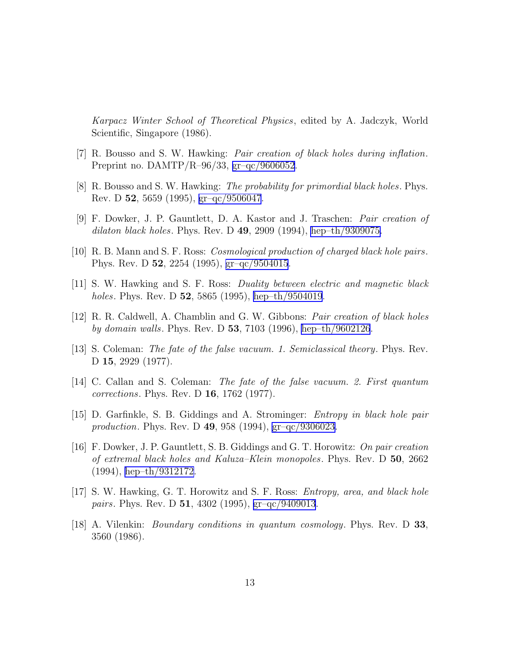<span id="page-12-0"></span>*Karpacz Winter School of Theoretical Physics*, edited by A. Jadczyk, World Scientific, Singapore (1986).

- [7] R. Bousso and S. W. Hawking: *Pair creation of black holes during inflation*. Preprint no. DAMTP/R–96/33, [gr–qc/9606052](http://arXiv.org/abs/gr--qc/9606052).
- [8] R. Bousso and S. W. Hawking: *The probability for primordial black holes*. Phys. Rev. D 52, 5659 (1995), [gr–qc/9506047](http://arXiv.org/abs/gr--qc/9506047).
- [9] F. Dowker, J. P. Gauntlett, D. A. Kastor and J. Traschen: *Pair creation of dilaton black holes*. Phys. Rev. D 49, 2909 (1994), [hep–th/9309075.](http://arXiv.org/abs/hep--th/9309075)
- [10] R. B. Mann and S. F. Ross: *Cosmological production of charged black hole pairs*. Phys. Rev. D 52, 2254 (1995), [gr–qc/9504015](http://arXiv.org/abs/gr--qc/9504015).
- [11] S. W. Hawking and S. F. Ross: *Duality between electric and magnetic black holes*. Phys. Rev. D 52, 5865 (1995), [hep–th/9504019](http://arXiv.org/abs/hep--th/9504019).
- [12] R. R. Caldwell, A. Chamblin and G. W. Gibbons: *Pair creation of black holes by domain walls*. Phys. Rev. D 53, 7103 (1996), [hep–th/9602126](http://arXiv.org/abs/hep--th/9602126).
- [13] S. Coleman: *The fate of the false vacuum. 1. Semiclassical theory*. Phys. Rev. D 15, 2929 (1977).
- [14] C. Callan and S. Coleman: *The fate of the false vacuum. 2. First quantum corrections*. Phys. Rev. D 16, 1762 (1977).
- [15] D. Garfinkle, S. B. Giddings and A. Strominger: *Entropy in black hole pair production*. Phys. Rev. D 49, 958 (1994), [gr–qc/9306023](http://arXiv.org/abs/gr--qc/9306023).
- [16] F. Dowker, J. P. Gauntlett, S. B. Giddings and G. T. Horowitz: *On pair creation of extremal black holes and Kaluza–Klein monopoles*. Phys. Rev. D 50, 2662 (1994), [hep–th/9312172.](http://arXiv.org/abs/hep--th/9312172)
- [17] S. W. Hawking, G. T. Horowitz and S. F. Ross: *Entropy, area, and black hole pairs*. Phys. Rev. D 51, 4302 (1995), [gr–qc/9409013](http://arXiv.org/abs/gr--qc/9409013).
- [18] A. Vilenkin: *Boundary conditions in quantum cosmology*. Phys. Rev. D 33, 3560 (1986).